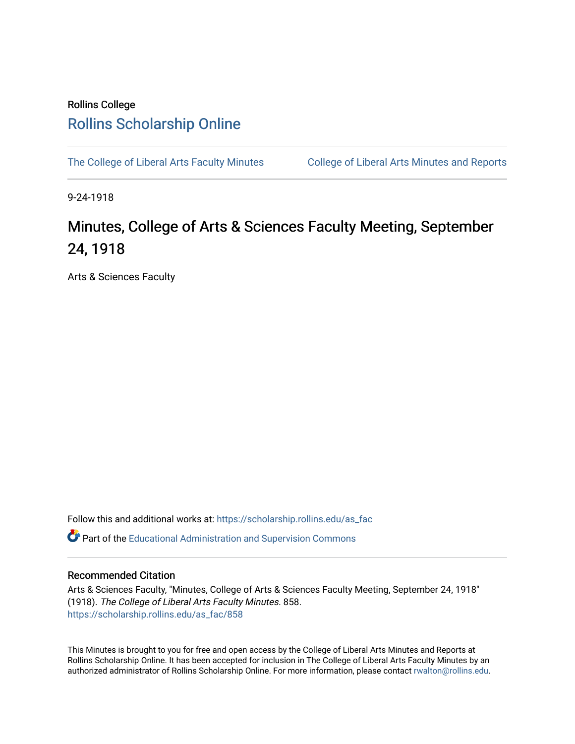## Rollins College [Rollins Scholarship Online](https://scholarship.rollins.edu/)

[The College of Liberal Arts Faculty Minutes](https://scholarship.rollins.edu/as_fac) College of Liberal Arts Minutes and Reports

9-24-1918

## Minutes, College of Arts & Sciences Faculty Meeting, September 24, 1918

Arts & Sciences Faculty

Follow this and additional works at: [https://scholarship.rollins.edu/as\\_fac](https://scholarship.rollins.edu/as_fac?utm_source=scholarship.rollins.edu%2Fas_fac%2F858&utm_medium=PDF&utm_campaign=PDFCoverPages) 

**P** Part of the [Educational Administration and Supervision Commons](http://network.bepress.com/hgg/discipline/787?utm_source=scholarship.rollins.edu%2Fas_fac%2F858&utm_medium=PDF&utm_campaign=PDFCoverPages)

## Recommended Citation

Arts & Sciences Faculty, "Minutes, College of Arts & Sciences Faculty Meeting, September 24, 1918" (1918). The College of Liberal Arts Faculty Minutes. 858. [https://scholarship.rollins.edu/as\\_fac/858](https://scholarship.rollins.edu/as_fac/858?utm_source=scholarship.rollins.edu%2Fas_fac%2F858&utm_medium=PDF&utm_campaign=PDFCoverPages) 

This Minutes is brought to you for free and open access by the College of Liberal Arts Minutes and Reports at Rollins Scholarship Online. It has been accepted for inclusion in The College of Liberal Arts Faculty Minutes by an authorized administrator of Rollins Scholarship Online. For more information, please contact [rwalton@rollins.edu](mailto:rwalton@rollins.edu).